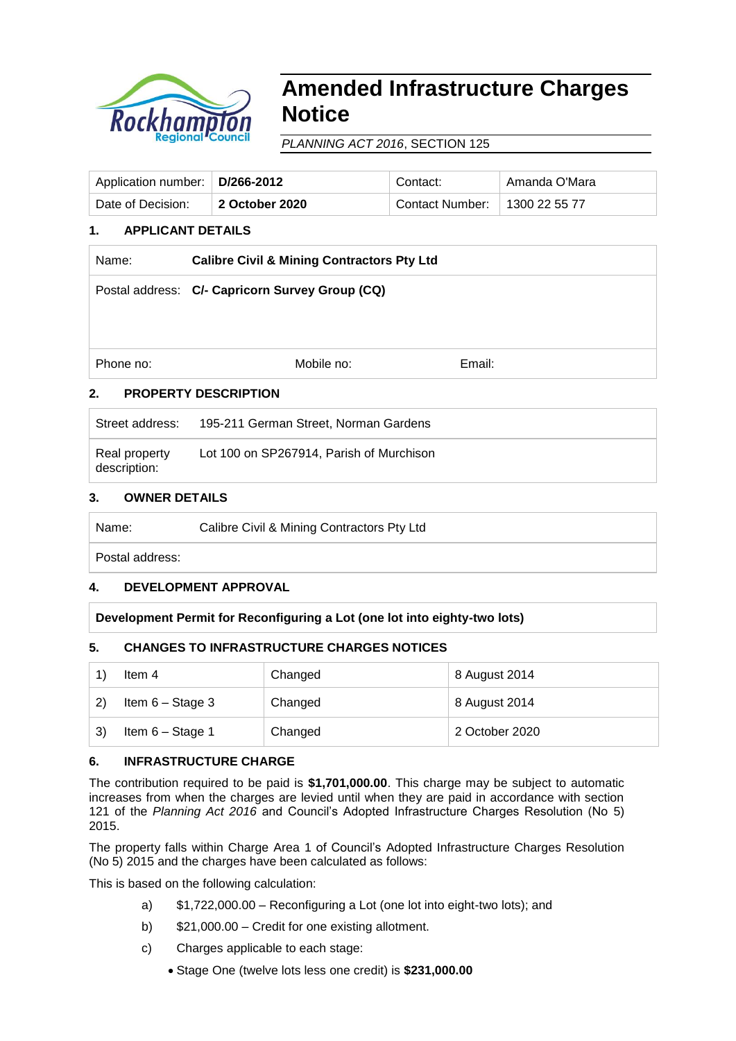

# **Amended Infrastructure Charges Notice**

*PLANNING ACT 2016*, SECTION 125

| Application number:   D/266-2012 |                | Contact:                        | Amanda O'Mara |
|----------------------------------|----------------|---------------------------------|---------------|
| Date of Decision:                | 2 October 2020 | Contact Number:   1300 22 55 77 |               |

## **1. APPLICANT DETAILS**

| Name:                     | <b>Calibre Civil &amp; Mining Contractors Pty Ltd</b> |        |  |
|---------------------------|-------------------------------------------------------|--------|--|
|                           | Postal address: C/- Capricorn Survey Group (CQ)       |        |  |
|                           |                                                       |        |  |
|                           |                                                       |        |  |
| Phone no:                 | Mobile no:                                            | Email: |  |
| ◠<br>DDADEDTV DEGADIDTIAN |                                                       |        |  |

## **2. PROPERTY DESCRIPTION**

| Street address:               | 195-211 German Street, Norman Gardens    |
|-------------------------------|------------------------------------------|
| Real property<br>description: | Lot 100 on SP267914, Parish of Murchison |

## **3. OWNER DETAILS**

| Calibre Civil & Mining Contractors Pty Ltd<br>Name: |  |
|-----------------------------------------------------|--|
|-----------------------------------------------------|--|

Postal address:

## **4. DEVELOPMENT APPROVAL**

**Development Permit for Reconfiguring a Lot (one lot into eighty-two lots)** 

## **5. CHANGES TO INFRASTRUCTURE CHARGES NOTICES**

|              | Item 4             | Changed | 8 August 2014  |
|--------------|--------------------|---------|----------------|
| $\mathbf{2}$ | Item $6 -$ Stage 3 | Changed | 8 August 2014  |
| 3)           | Item $6 -$ Stage 1 | Changed | 2 October 2020 |

## **6. INFRASTRUCTURE CHARGE**

The contribution required to be paid is **\$1,701,000.00**. This charge may be subject to automatic increases from when the charges are levied until when they are paid in accordance with section 121 of the *Planning Act 2016* and Council's Adopted Infrastructure Charges Resolution (No 5) 2015.

The property falls within Charge Area 1 of Council's Adopted Infrastructure Charges Resolution (No 5) 2015 and the charges have been calculated as follows:

This is based on the following calculation:

- a) \$1,722,000.00 Reconfiguring a Lot (one lot into eight-two lots); and
- b) \$21,000.00 Credit for one existing allotment.
- c) Charges applicable to each stage:
	- Stage One (twelve lots less one credit) is **\$231,000.00**